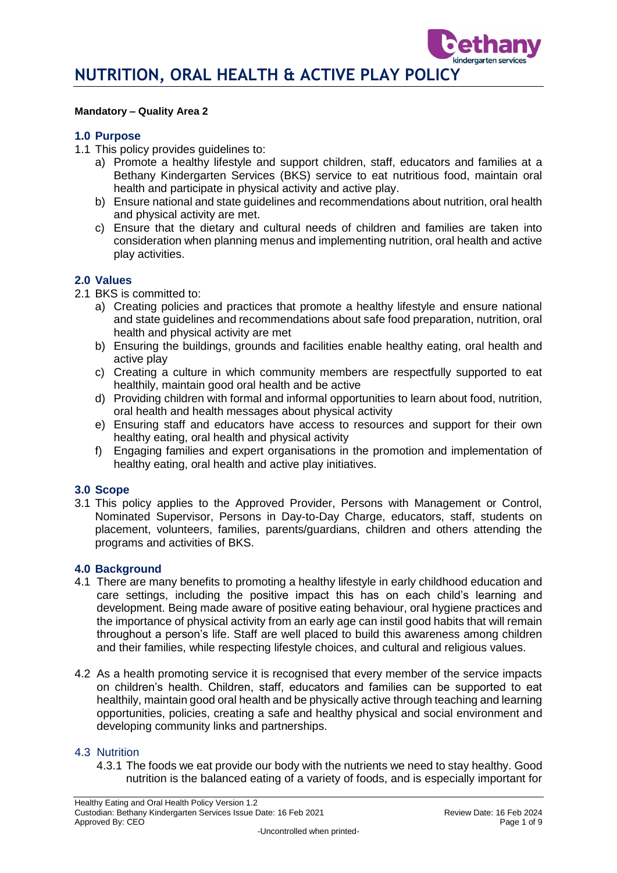#### **Mandatory – Quality Area 2**

#### **1.0 Purpose**

- 1.1 This policy provides guidelines to:
	- a) Promote a healthy lifestyle and support children, staff, educators and families at a Bethany Kindergarten Services (BKS) service to eat nutritious food, maintain oral health and participate in physical activity and active play.
	- b) Ensure national and state guidelines and recommendations about nutrition, oral health and physical activity are met.
	- c) Ensure that the dietary and cultural needs of children and families are taken into consideration when planning menus and implementing nutrition, oral health and active play activities.

### **2.0 Values**

2.1 BKS is committed to:

- a) Creating policies and practices that promote a healthy lifestyle and ensure national and state guidelines and recommendations about safe food preparation, nutrition, oral health and physical activity are met
- b) Ensuring the buildings, grounds and facilities enable healthy eating, oral health and active play
- c) Creating a culture in which community members are respectfully supported to eat healthily, maintain good oral health and be active
- d) Providing children with formal and informal opportunities to learn about food, nutrition, oral health and health messages about physical activity
- e) Ensuring staff and educators have access to resources and support for their own healthy eating, oral health and physical activity
- f) Engaging families and expert organisations in the promotion and implementation of healthy eating, oral health and active play initiatives.

### **3.0 Scope**

3.1 This policy applies to the Approved Provider, Persons with Management or Control, Nominated Supervisor, Persons in Day-to-Day Charge, educators, staff, students on placement, volunteers, families, parents/guardians, children and others attending the programs and activities of BKS.

### **4.0 Background**

- 4.1 There are many benefits to promoting a healthy lifestyle in early childhood education and care settings, including the positive impact this has on each child's learning and development. Being made aware of positive eating behaviour, oral hygiene practices and the importance of physical activity from an early age can instil good habits that will remain throughout a person's life. Staff are well placed to build this awareness among children and their families, while respecting lifestyle choices, and cultural and religious values.
- 4.2 As a health promoting service it is recognised that every member of the service impacts on children's health. Children, staff, educators and families can be supported to eat healthily, maintain good oral health and be physically active through teaching and learning opportunities, policies, creating a safe and healthy physical and social environment and developing community links and partnerships.

#### 4.3 Nutrition

4.3.1 The foods we eat provide our body with the nutrients we need to stay healthy. Good nutrition is the balanced eating of a variety of foods, and is especially important for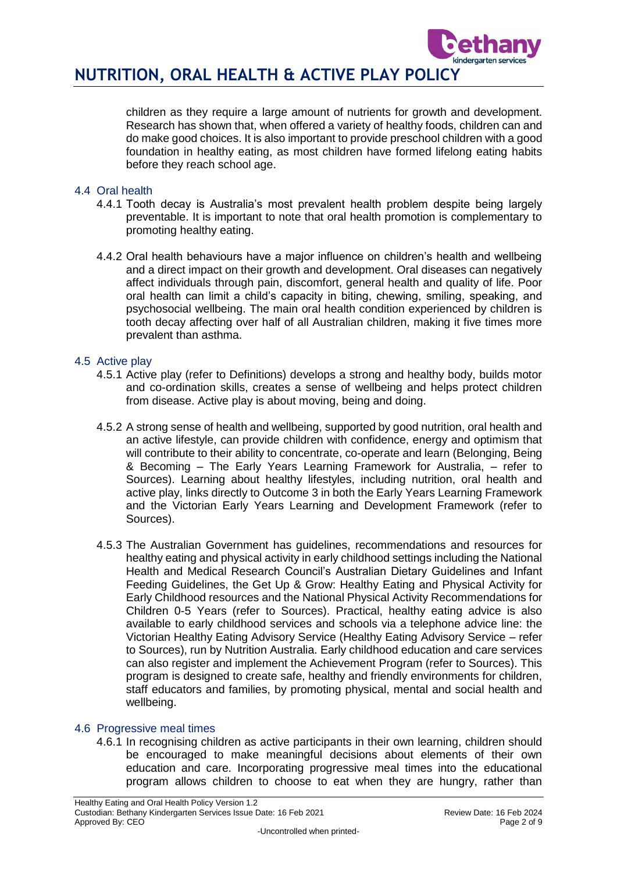

children as they require a large amount of nutrients for growth and development. Research has shown that, when offered a variety of healthy foods, children can and do make good choices. It is also important to provide preschool children with a good foundation in healthy eating, as most children have formed lifelong eating habits before they reach school age.

## 4.4 Oral health

- 4.4.1 Tooth decay is Australia's most prevalent health problem despite being largely preventable. It is important to note that oral health promotion is complementary to promoting healthy eating.
- 4.4.2 Oral health behaviours have a major influence on children's health and wellbeing and a direct impact on their growth and development. Oral diseases can negatively affect individuals through pain, discomfort, general health and quality of life. Poor oral health can limit a child's capacity in biting, chewing, smiling, speaking, and psychosocial wellbeing. The main oral health condition experienced by children is tooth decay affecting over half of all Australian children, making it five times more prevalent than asthma.

### 4.5 Active play

- 4.5.1 Active play (refer to Definitions) develops a strong and healthy body, builds motor and co-ordination skills, creates a sense of wellbeing and helps protect children from disease. Active play is about moving, being and doing.
- 4.5.2 A strong sense of health and wellbeing, supported by good nutrition, oral health and an active lifestyle, can provide children with confidence, energy and optimism that will contribute to their ability to concentrate, co-operate and learn (Belonging, Being & Becoming – The Early Years Learning Framework for Australia, – refer to Sources). Learning about healthy lifestyles, including nutrition, oral health and active play, links directly to Outcome 3 in both the Early Years Learning Framework and the Victorian Early Years Learning and Development Framework (refer to Sources).
- 4.5.3 The Australian Government has guidelines, recommendations and resources for healthy eating and physical activity in early childhood settings including the National Health and Medical Research Council's Australian Dietary Guidelines and Infant Feeding Guidelines, the Get Up & Grow: Healthy Eating and Physical Activity for Early Childhood resources and the National Physical Activity Recommendations for Children 0-5 Years (refer to Sources). Practical, healthy eating advice is also available to early childhood services and schools via a telephone advice line: the Victorian Healthy Eating Advisory Service (Healthy Eating Advisory Service – refer to Sources), run by Nutrition Australia. Early childhood education and care services can also register and implement the Achievement Program (refer to Sources). This program is designed to create safe, healthy and friendly environments for children, staff educators and families, by promoting physical, mental and social health and wellbeing.

## 4.6 Progressive meal times

4.6.1 In recognising children as active participants in their own learning, children should be encouraged to make meaningful decisions about elements of their own education and care. Incorporating progressive meal times into the educational program allows children to choose to eat when they are hungry, rather than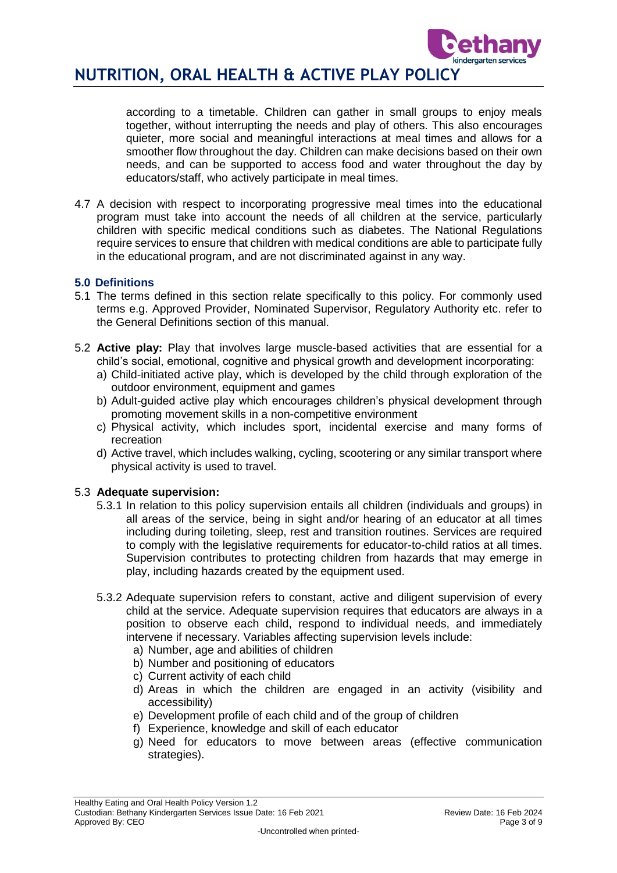

according to a timetable. Children can gather in small groups to enjoy meals together, without interrupting the needs and play of others. This also encourages quieter, more social and meaningful interactions at meal times and allows for a smoother flow throughout the day. Children can make decisions based on their own needs, and can be supported to access food and water throughout the day by educators/staff, who actively participate in meal times.

4.7 A decision with respect to incorporating progressive meal times into the educational program must take into account the needs of all children at the service, particularly children with specific medical conditions such as diabetes. The National Regulations require services to ensure that children with medical conditions are able to participate fully in the educational program, and are not discriminated against in any way.

# **5.0 Definitions**

- 5.1 The terms defined in this section relate specifically to this policy. For commonly used terms e.g. Approved Provider, Nominated Supervisor, Regulatory Authority etc. refer to the General Definitions section of this manual.
- 5.2 **Active play:** Play that involves large muscle-based activities that are essential for a child's social, emotional, cognitive and physical growth and development incorporating:
	- a) Child-initiated active play, which is developed by the child through exploration of the outdoor environment, equipment and games
	- b) Adult-guided active play which encourages children's physical development through promoting movement skills in a non-competitive environment
	- c) Physical activity, which includes sport, incidental exercise and many forms of recreation
	- d) Active travel, which includes walking, cycling, scootering or any similar transport where physical activity is used to travel.

## 5.3 **Adequate supervision:**

- 5.3.1 In relation to this policy supervision entails all children (individuals and groups) in all areas of the service, being in sight and/or hearing of an educator at all times including during toileting, sleep, rest and transition routines. Services are required to comply with the legislative requirements for educator-to-child ratios at all times. Supervision contributes to protecting children from hazards that may emerge in play, including hazards created by the equipment used.
- 5.3.2 Adequate supervision refers to constant, active and diligent supervision of every child at the service. Adequate supervision requires that educators are always in a position to observe each child, respond to individual needs, and immediately intervene if necessary. Variables affecting supervision levels include:
	- a) Number, age and abilities of children
	- b) Number and positioning of educators
	- c) Current activity of each child
	- d) Areas in which the children are engaged in an activity (visibility and accessibility)
	- e) Development profile of each child and of the group of children
	- f) Experience, knowledge and skill of each educator
	- g) Need for educators to move between areas (effective communication strategies).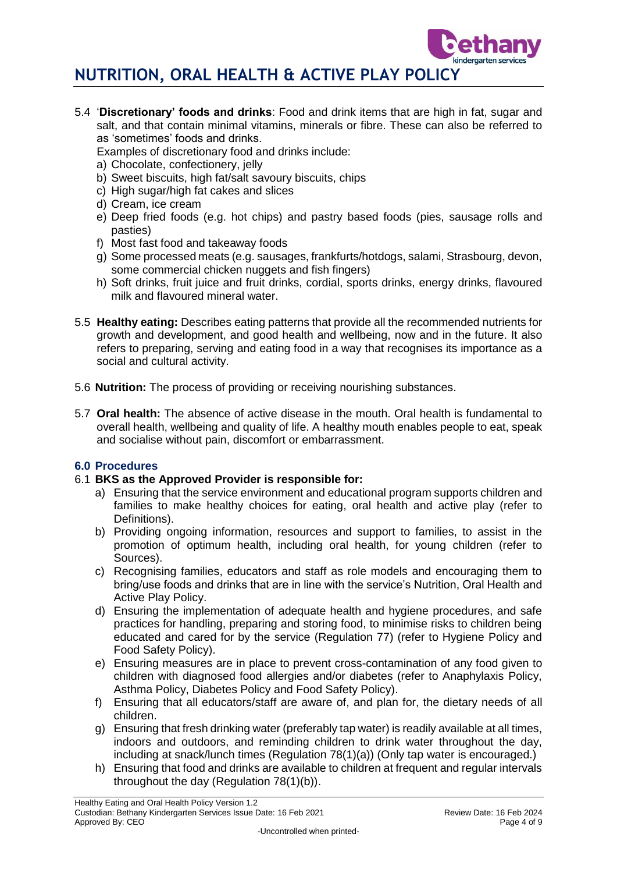

5.4 '**Discretionary' foods and drinks**: Food and drink items that are high in fat, sugar and salt, and that contain minimal vitamins, minerals or fibre. These can also be referred to as 'sometimes' foods and drinks.

Examples of discretionary food and drinks include:

- a) Chocolate, confectionery, jelly
- b) Sweet biscuits, high fat/salt savoury biscuits, chips
- c) High sugar/high fat cakes and slices
- d) Cream, ice cream
- e) Deep fried foods (e.g. hot chips) and pastry based foods (pies, sausage rolls and pasties)
- f) Most fast food and takeaway foods
- g) Some processed meats (e.g. sausages, frankfurts/hotdogs, salami, Strasbourg, devon, some commercial chicken nuggets and fish fingers)
- h) Soft drinks, fruit juice and fruit drinks, cordial, sports drinks, energy drinks, flavoured milk and flavoured mineral water.
- 5.5 **Healthy eating:** Describes eating patterns that provide all the recommended nutrients for growth and development, and good health and wellbeing, now and in the future. It also refers to preparing, serving and eating food in a way that recognises its importance as a social and cultural activity.
- 5.6 **Nutrition:** The process of providing or receiving nourishing substances.
- 5.7 **Oral health:** The absence of active disease in the mouth. Oral health is fundamental to overall health, wellbeing and quality of life. A healthy mouth enables people to eat, speak and socialise without pain, discomfort or embarrassment.

# **6.0 Procedures**

# 6.1 **BKS as the Approved Provider is responsible for:**

- a) Ensuring that the service environment and educational program supports children and families to make healthy choices for eating, oral health and active play (refer to Definitions).
- b) Providing ongoing information, resources and support to families, to assist in the promotion of optimum health, including oral health, for young children (refer to Sources).
- c) Recognising families, educators and staff as role models and encouraging them to bring/use foods and drinks that are in line with the service's Nutrition, Oral Health and Active Play Policy.
- d) Ensuring the implementation of adequate health and hygiene procedures, and safe practices for handling, preparing and storing food, to minimise risks to children being educated and cared for by the service (Regulation 77) (refer to Hygiene Policy and Food Safety Policy).
- e) Ensuring measures are in place to prevent cross-contamination of any food given to children with diagnosed food allergies and/or diabetes (refer to Anaphylaxis Policy, Asthma Policy, Diabetes Policy and Food Safety Policy).
- f) Ensuring that all educators/staff are aware of, and plan for, the dietary needs of all children.
- g) Ensuring that fresh drinking water (preferably tap water) is readily available at all times, indoors and outdoors, and reminding children to drink water throughout the day, including at snack/lunch times (Regulation 78(1)(a)) (Only tap water is encouraged.)
- h) Ensuring that food and drinks are available to children at frequent and regular intervals throughout the day (Regulation 78(1)(b)).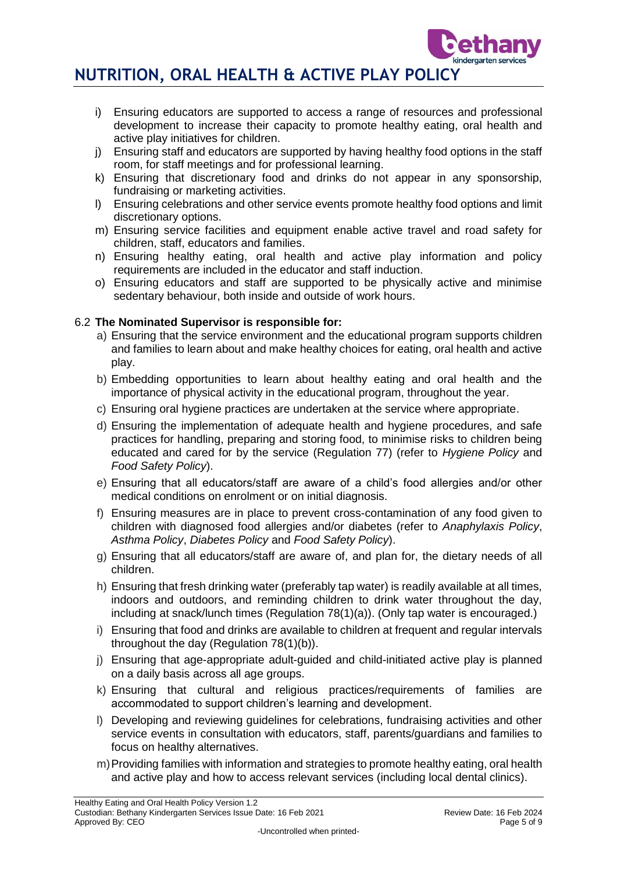

- i) Ensuring educators are supported to access a range of resources and professional development to increase their capacity to promote healthy eating, oral health and active play initiatives for children.
- j) Ensuring staff and educators are supported by having healthy food options in the staff room, for staff meetings and for professional learning.
- k) Ensuring that discretionary food and drinks do not appear in any sponsorship, fundraising or marketing activities.
- l) Ensuring celebrations and other service events promote healthy food options and limit discretionary options.
- m) Ensuring service facilities and equipment enable active travel and road safety for children, staff, educators and families.
- n) Ensuring healthy eating, oral health and active play information and policy requirements are included in the educator and staff induction.
- o) Ensuring educators and staff are supported to be physically active and minimise sedentary behaviour, both inside and outside of work hours.

# 6.2 **The Nominated Supervisor is responsible for:**

- a) Ensuring that the service environment and the educational program supports children and families to learn about and make healthy choices for eating, oral health and active play.
- b) Embedding opportunities to learn about healthy eating and oral health and the importance of physical activity in the educational program, throughout the year.
- c) Ensuring oral hygiene practices are undertaken at the service where appropriate.
- d) Ensuring the implementation of adequate health and hygiene procedures, and safe practices for handling, preparing and storing food, to minimise risks to children being educated and cared for by the service (Regulation 77) (refer to *Hygiene Policy* and *Food Safety Policy*).
- e) Ensuring that all educators/staff are aware of a child's food allergies and/or other medical conditions on enrolment or on initial diagnosis.
- f) Ensuring measures are in place to prevent cross-contamination of any food given to children with diagnosed food allergies and/or diabetes (refer to *Anaphylaxis Policy*, *Asthma Policy*, *Diabetes Policy* and *Food Safety Policy*).
- g) Ensuring that all educators/staff are aware of, and plan for, the dietary needs of all children.
- h) Ensuring that fresh drinking water (preferably tap water) is readily available at all times, indoors and outdoors, and reminding children to drink water throughout the day, including at snack/lunch times (Regulation 78(1)(a)). (Only tap water is encouraged.)
- i) Ensuring that food and drinks are available to children at frequent and regular intervals throughout the day (Regulation 78(1)(b)).
- j) Ensuring that age-appropriate adult-guided and child-initiated active play is planned on a daily basis across all age groups.
- k) Ensuring that cultural and religious practices/requirements of families are accommodated to support children's learning and development.
- l) Developing and reviewing guidelines for celebrations, fundraising activities and other service events in consultation with educators, staff, parents/guardians and families to focus on healthy alternatives.
- m)Providing families with information and strategies to promote healthy eating, oral health and active play and how to access relevant services (including local dental clinics).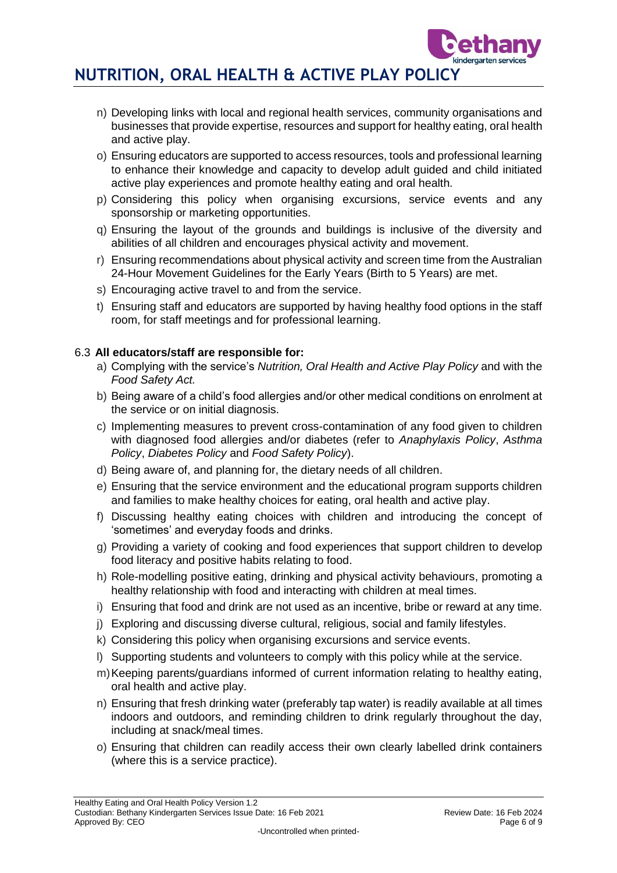- n) Developing links with local and regional health services, community organisations and businesses that provide expertise, resources and support for healthy eating, oral health and active play.
- o) Ensuring educators are supported to access resources, tools and professional learning to enhance their knowledge and capacity to develop adult guided and child initiated active play experiences and promote healthy eating and oral health.
- p) Considering this policy when organising excursions, service events and any sponsorship or marketing opportunities.
- q) Ensuring the layout of the grounds and buildings is inclusive of the diversity and abilities of all children and encourages physical activity and movement.
- r) Ensuring recommendations about physical activity and screen time from the Australian 24-Hour Movement Guidelines for the Early Years (Birth to 5 Years) are met.
- s) Encouraging active travel to and from the service.
- t) Ensuring staff and educators are supported by having healthy food options in the staff room, for staff meetings and for professional learning.

# 6.3 **All educators/staff are responsible for:**

- a) Complying with the service's *Nutrition, Oral Health and Active Play Policy* and with the *Food Safety Act.*
- b) Being aware of a child's food allergies and/or other medical conditions on enrolment at the service or on initial diagnosis.
- c) Implementing measures to prevent cross-contamination of any food given to children with diagnosed food allergies and/or diabetes (refer to *Anaphylaxis Policy*, *Asthma Policy*, *Diabetes Policy* and *Food Safety Policy*).
- d) Being aware of, and planning for, the dietary needs of all children.
- e) Ensuring that the service environment and the educational program supports children and families to make healthy choices for eating, oral health and active play.
- f) Discussing healthy eating choices with children and introducing the concept of 'sometimes' and everyday foods and drinks.
- g) Providing a variety of cooking and food experiences that support children to develop food literacy and positive habits relating to food.
- h) Role-modelling positive eating, drinking and physical activity behaviours, promoting a healthy relationship with food and interacting with children at meal times.
- i) Ensuring that food and drink are not used as an incentive, bribe or reward at any time.
- j) Exploring and discussing diverse cultural, religious, social and family lifestyles.
- k) Considering this policy when organising excursions and service events.
- l) Supporting students and volunteers to comply with this policy while at the service.
- m)Keeping parents/guardians informed of current information relating to healthy eating, oral health and active play.
- n) Ensuring that fresh drinking water (preferably tap water) is readily available at all times indoors and outdoors, and reminding children to drink regularly throughout the day, including at snack/meal times.
- o) Ensuring that children can readily access their own clearly labelled drink containers (where this is a service practice).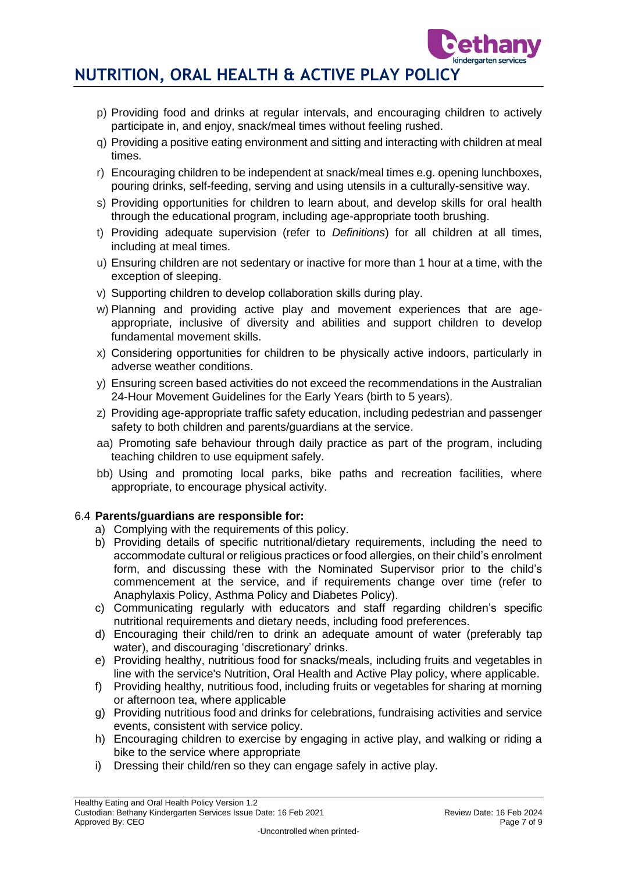- p) Providing food and drinks at regular intervals, and encouraging children to actively participate in, and enjoy, snack/meal times without feeling rushed.
- q) Providing a positive eating environment and sitting and interacting with children at meal times.
- r) Encouraging children to be independent at snack/meal times e.g. opening lunchboxes, pouring drinks, self-feeding, serving and using utensils in a culturally-sensitive way.
- s) Providing opportunities for children to learn about, and develop skills for oral health through the educational program, including age-appropriate tooth brushing.
- t) Providing adequate supervision (refer to *Definitions*) for all children at all times, including at meal times.
- u) Ensuring children are not sedentary or inactive for more than 1 hour at a time, with the exception of sleeping.
- v) Supporting children to develop collaboration skills during play.
- w) Planning and providing active play and movement experiences that are ageappropriate, inclusive of diversity and abilities and support children to develop fundamental movement skills.
- x) Considering opportunities for children to be physically active indoors, particularly in adverse weather conditions.
- y) Ensuring screen based activities do not exceed the recommendations in the Australian 24-Hour Movement Guidelines for the Early Years (birth to 5 years).
- z) Providing age-appropriate traffic safety education, including pedestrian and passenger safety to both children and parents/guardians at the service.
- aa) Promoting safe behaviour through daily practice as part of the program, including teaching children to use equipment safely.
- bb) Using and promoting local parks, bike paths and recreation facilities, where appropriate, to encourage physical activity.

# 6.4 **Parents/guardians are responsible for:**

- a) Complying with the requirements of this policy.
- b) Providing details of specific nutritional/dietary requirements, including the need to accommodate cultural or religious practices or food allergies, on their child's enrolment form, and discussing these with the Nominated Supervisor prior to the child's commencement at the service, and if requirements change over time (refer to Anaphylaxis Policy, Asthma Policy and Diabetes Policy).
- c) Communicating regularly with educators and staff regarding children's specific nutritional requirements and dietary needs, including food preferences.
- d) Encouraging their child/ren to drink an adequate amount of water (preferably tap water), and discouraging 'discretionary' drinks.
- e) Providing healthy, nutritious food for snacks/meals, including fruits and vegetables in line with the service's Nutrition, Oral Health and Active Play policy, where applicable.
- f) Providing healthy, nutritious food, including fruits or vegetables for sharing at morning or afternoon tea, where applicable
- g) Providing nutritious food and drinks for celebrations, fundraising activities and service events, consistent with service policy.
- h) Encouraging children to exercise by engaging in active play, and walking or riding a bike to the service where appropriate
- i) Dressing their child/ren so they can engage safely in active play.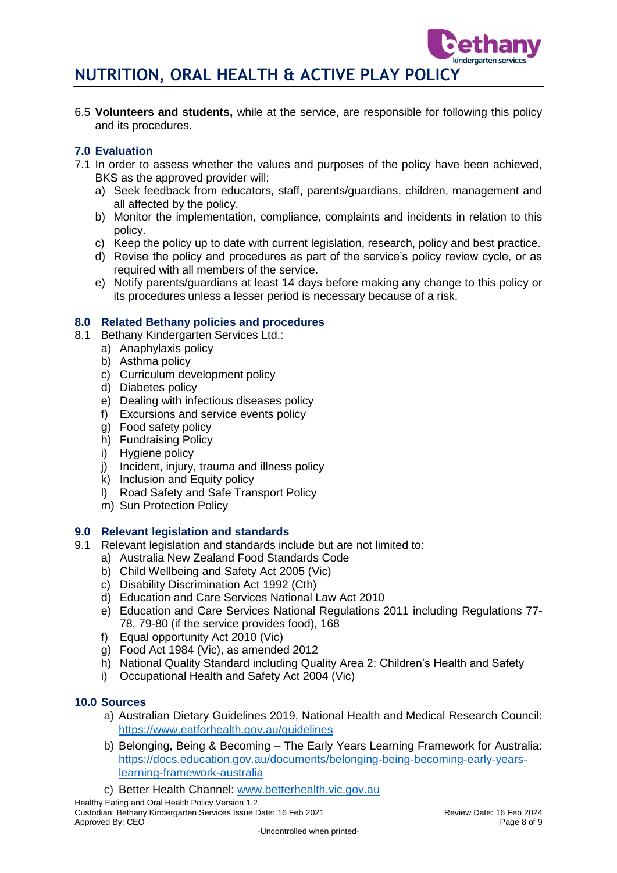6.5 **Volunteers and students,** while at the service, are responsible for following this policy and its procedures.

# **7.0 Evaluation**

- 7.1 In order to assess whether the values and purposes of the policy have been achieved, BKS as the approved provider will:
	- a) Seek feedback from educators, staff, parents/guardians, children, management and all affected by the policy.
	- b) Monitor the implementation, compliance, complaints and incidents in relation to this policy.
	- c) Keep the policy up to date with current legislation, research, policy and best practice.
	- d) Revise the policy and procedures as part of the service's policy review cycle, or as required with all members of the service.
	- e) Notify parents/guardians at least 14 days before making any change to this policy or its procedures unless a lesser period is necessary because of a risk.

# **8.0 Related Bethany policies and procedures**

- 8.1 Bethany Kindergarten Services Ltd.:
	- a) Anaphylaxis policy
	- b) Asthma policy
	- c) Curriculum development policy
	- d) Diabetes policy
	- e) Dealing with infectious diseases policy
	- f) Excursions and service events policy
	- g) Food safety policy
	- h) Fundraising Policy
	- i) Hygiene policy
	- j) Incident, injury, trauma and illness policy
	- k) Inclusion and Equity policy
	- l) Road Safety and Safe Transport Policy
	- m) Sun Protection Policy

## **9.0 Relevant legislation and standards**

- 9.1 Relevant legislation and standards include but are not limited to:
	- a) Australia New Zealand Food Standards Code
	- b) Child Wellbeing and Safety Act 2005 (Vic)
	- c) Disability Discrimination Act 1992 (Cth)
	- d) Education and Care Services National Law Act 2010
	- e) Education and Care Services National Regulations 2011 including Regulations 77- 78, 79-80 (if the service provides food), 168
	- f) Equal opportunity Act 2010 (Vic)
	- g) Food Act 1984 (Vic), as amended 2012
	- h) National Quality Standard including Quality Area 2: Children's Health and Safety
	- i) Occupational Health and Safety Act 2004 (Vic)

# **10.0 Sources**

- a) Australian Dietary Guidelines 2019, National Health and Medical Research Council: <https://www.eatforhealth.gov.au/guidelines>
- b) Belonging, Being & Becoming The Early Years Learning Framework for Australia: [https://docs.education.gov.au/documents/belonging-being-becoming-early-years](https://docs.education.gov.au/documents/belonging-being-becoming-early-years-learning-framework-australia)[learning-framework-australia](https://docs.education.gov.au/documents/belonging-being-becoming-early-years-learning-framework-australia)
- c) Better Health Channel: [www.betterhealth.vic.gov.au](http://www.betterhealth.vic.gov.au/)